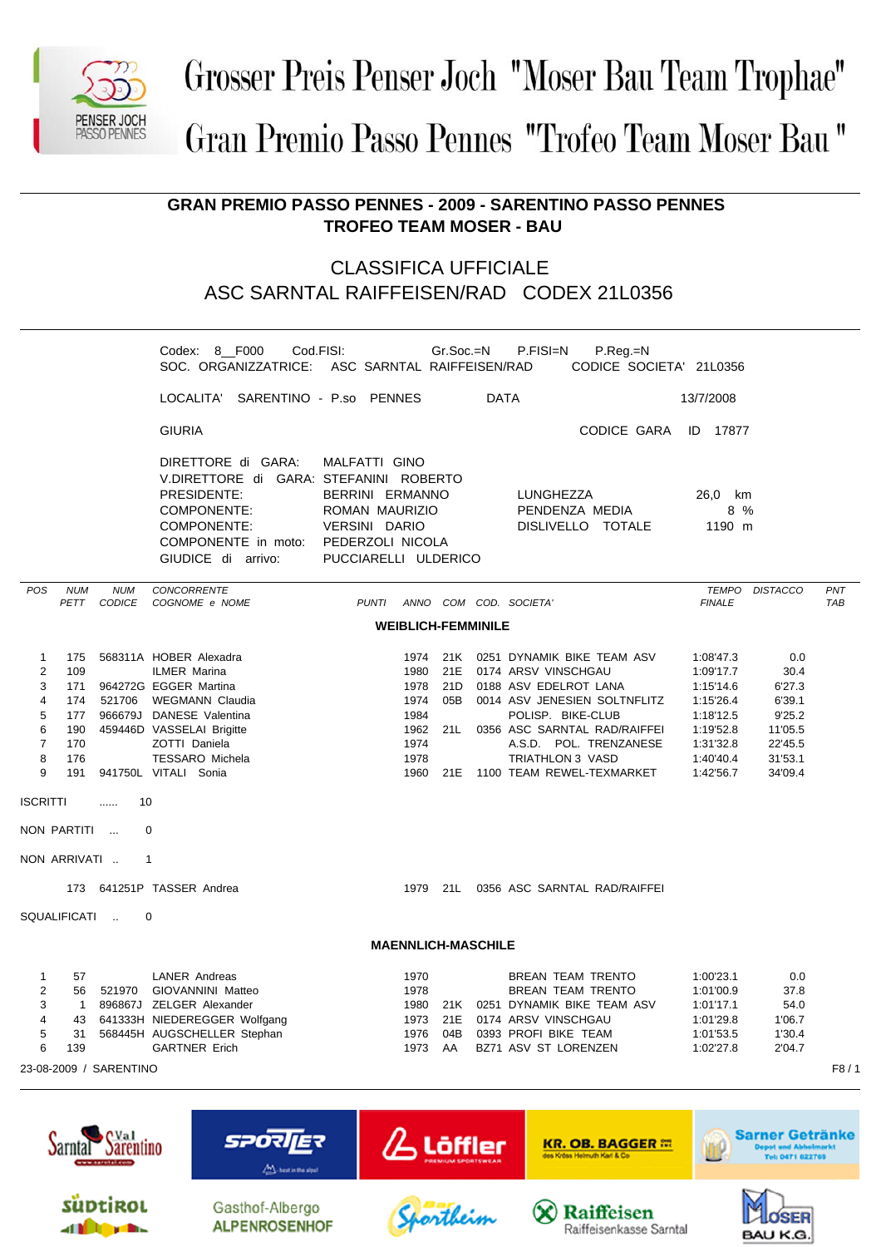

## Grosser Preis Penser Joch "Moser Bau Team Trophae" Gran Premio Passo Pennes "Trofeo Team Moser Bau"

**GRAN PREMIO PASSO PENNES - 2009 - SARENTINO PASSO PENNES TROFEO TEAM MOSER - BAU**

## CLASSIFICA UFFICIALE ASC SARNTAL RAIFFEISEN/RAD CODEX 21L0356

|                                                                                            |                                                                                     |                                | Codex: 8 F000<br>SOC. ORGANIZZATRICE: ASC SARNTAL RAIFFEISEN/RAD                                                                                                                                                                                                                               | Cod.FISI:                                                                                   |                                                 | Gr.Soc.=N         |             | P.FISI=N<br>P.Reg.=N<br>CODICE SOCIETA' 21L0356                                                                                                                                                                                                                                                                    |                                                                                                                   |                                                                                       |                   |
|--------------------------------------------------------------------------------------------|-------------------------------------------------------------------------------------|--------------------------------|------------------------------------------------------------------------------------------------------------------------------------------------------------------------------------------------------------------------------------------------------------------------------------------------|---------------------------------------------------------------------------------------------|-------------------------------------------------|-------------------|-------------|--------------------------------------------------------------------------------------------------------------------------------------------------------------------------------------------------------------------------------------------------------------------------------------------------------------------|-------------------------------------------------------------------------------------------------------------------|---------------------------------------------------------------------------------------|-------------------|
|                                                                                            |                                                                                     |                                | LOCALITA' SARENTINO - P.so PENNES                                                                                                                                                                                                                                                              |                                                                                             |                                                 |                   | <b>DATA</b> |                                                                                                                                                                                                                                                                                                                    | 13/7/2008                                                                                                         |                                                                                       |                   |
|                                                                                            |                                                                                     |                                | <b>GIURIA</b>                                                                                                                                                                                                                                                                                  |                                                                                             |                                                 |                   |             | CODICE GARA ID 17877                                                                                                                                                                                                                                                                                               |                                                                                                                   |                                                                                       |                   |
|                                                                                            |                                                                                     |                                | DIRETTORE di GARA:<br>V.DIRETTORE di GARA: STEFANINI ROBERTO<br>PRESIDENTE:<br>COMPONENTE:<br>COMPONENTE:<br>COMPONENTE in moto: PEDERZOLI NICOLA<br>GIUDICE di arrivo:                                                                                                                        | MALFATTI GINO<br>BERRINI ERMANNO<br>ROMAN MAURIZIO<br>VERSINI DARIO<br>PUCCIARELLI ULDERICO |                                                 |                   |             | LUNGHEZZA<br>PENDENZA MEDIA<br>DISLIVELLO TOTALE                                                                                                                                                                                                                                                                   | 26,0 km<br>8 %<br>1190 m                                                                                          |                                                                                       |                   |
| <b>POS</b>                                                                                 | <b>NUM</b>                                                                          | <b>NUM</b><br>PETT CODICE      | CONCORRENTE<br>COGNOME e NOME                                                                                                                                                                                                                                                                  |                                                                                             |                                                 |                   |             | PUNTI ANNO COM COD. SOCIETA'                                                                                                                                                                                                                                                                                       | <b>FINALE</b>                                                                                                     | TEMPO DISTACCO                                                                        | PNT<br><b>TAB</b> |
|                                                                                            |                                                                                     |                                |                                                                                                                                                                                                                                                                                                |                                                                                             | <b>WEIBLICH-FEMMINILE</b>                       |                   |             |                                                                                                                                                                                                                                                                                                                    |                                                                                                                   |                                                                                       |                   |
| $\mathbf{1}$<br>$\overline{c}$<br>3<br>4<br>5<br>6<br>$\overline{7}$<br>8<br>9<br>ISCRITTI | 175<br>109<br>174<br>177<br>190<br>170<br>176<br>191<br>NON PARTITI<br>NON ARRIVATI | 10<br>$\ldots$<br>SQUALIFICATI | 568311A HOBER Alexadra<br><b>ILMER Marina</b><br>171 964272G EGGER Martina<br>521706 WEGMANN Claudia<br>966679J DANESE Valentina<br>459446D VASSELAI Brigitte<br>ZOTTI Daniela<br><b>TESSARO Michela</b><br>941750L VITALI Sonia<br>$\Omega$<br>$\mathbf{1}$<br>173 641251P TASSER Andrea<br>0 |                                                                                             | 1980<br>1978<br>1974<br>1984<br>1974<br>1978    | 21E<br>05B        |             | 1974 21K 0251 DYNAMIK BIKE TEAM ASV<br>0174 ARSV VINSCHGAU<br>21D 0188 ASV EDELROT LANA<br>0014 ASV JENESIEN SOLTNFLITZ<br>POLISP. BIKE-CLUB<br>1962 21L 0356 ASC SARNTAL RAD/RAIFFEI<br>A.S.D. POL. TRENZANESE<br>TRIATHLON 3 VASD<br>1960 21E 1100 TEAM REWEL-TEXMARKET<br>1979 21L 0356 ASC SARNTAL RAD/RAIFFEI | 1:08'47.3<br>1:09'17.7<br>1:15'14.6<br>1:15'26.4<br>1:18'12.5<br>1:19'52.8<br>1:31'32.8<br>1:40'40.4<br>1:42'56.7 | 0.0<br>30.4<br>6'27.3<br>6'39.1<br>9'25.2<br>11'05.5<br>22'45.5<br>31'53.1<br>34'09.4 |                   |
|                                                                                            |                                                                                     |                                |                                                                                                                                                                                                                                                                                                |                                                                                             | <b>MAENNLICH-MASCHILE</b>                       |                   |             |                                                                                                                                                                                                                                                                                                                    |                                                                                                                   |                                                                                       |                   |
|                                                                                            |                                                                                     |                                |                                                                                                                                                                                                                                                                                                |                                                                                             |                                                 |                   |             |                                                                                                                                                                                                                                                                                                                    |                                                                                                                   |                                                                                       |                   |
| 1.<br>$\overline{\mathbf{c}}$<br>3<br>4<br>5<br>6                                          | 57<br>1<br>43<br>31<br>139                                                          | 23-08-2009 / SARENTINO         | LANER Andreas<br>56 521970 GIOVANNINI Matteo<br>896867J ZELGER Alexander<br>641333H NIEDEREGGER Wolfgang<br>568445H AUGSCHELLER Stephan<br><b>GARTNER Erich</b>                                                                                                                                |                                                                                             | 1970<br>1978<br>1980<br>1973<br>1976<br>1973 AA | 21K<br>21E<br>04B |             | BREAN TEAM TRENTO<br>BREAN TEAM TRENTO<br>0251 DYNAMIK BIKE TEAM ASV<br>0174 ARSV VINSCHGAU<br>0393 PROFI BIKE TEAM<br>BZ71 ASV ST LORENZEN                                                                                                                                                                        | 1:00'23.1<br>1:01'00.9<br>1:01'17.1<br>1:01'29.8<br>1:01'53.5<br>1:02'27.8                                        | 0.0<br>37.8<br>54.0<br>1'06.7<br>1'30.4<br>2'04.7                                     | F8/1              |
|                                                                                            |                                                                                     |                                |                                                                                                                                                                                                                                                                                                |                                                                                             |                                                 |                   |             |                                                                                                                                                                                                                                                                                                                    |                                                                                                                   |                                                                                       |                   |
|                                                                                            |                                                                                     | <b>CVal</b>                    | <b>SPORTER</b>                                                                                                                                                                                                                                                                                 | $\beta$ Löffler                                                                             |                                                 |                   |             | <b>KR. OB. BAGGER ##</b>                                                                                                                                                                                                                                                                                           |                                                                                                                   | Sarner Getränke<br><b>Depot und Abholmark</b>                                         |                   |











1471 622769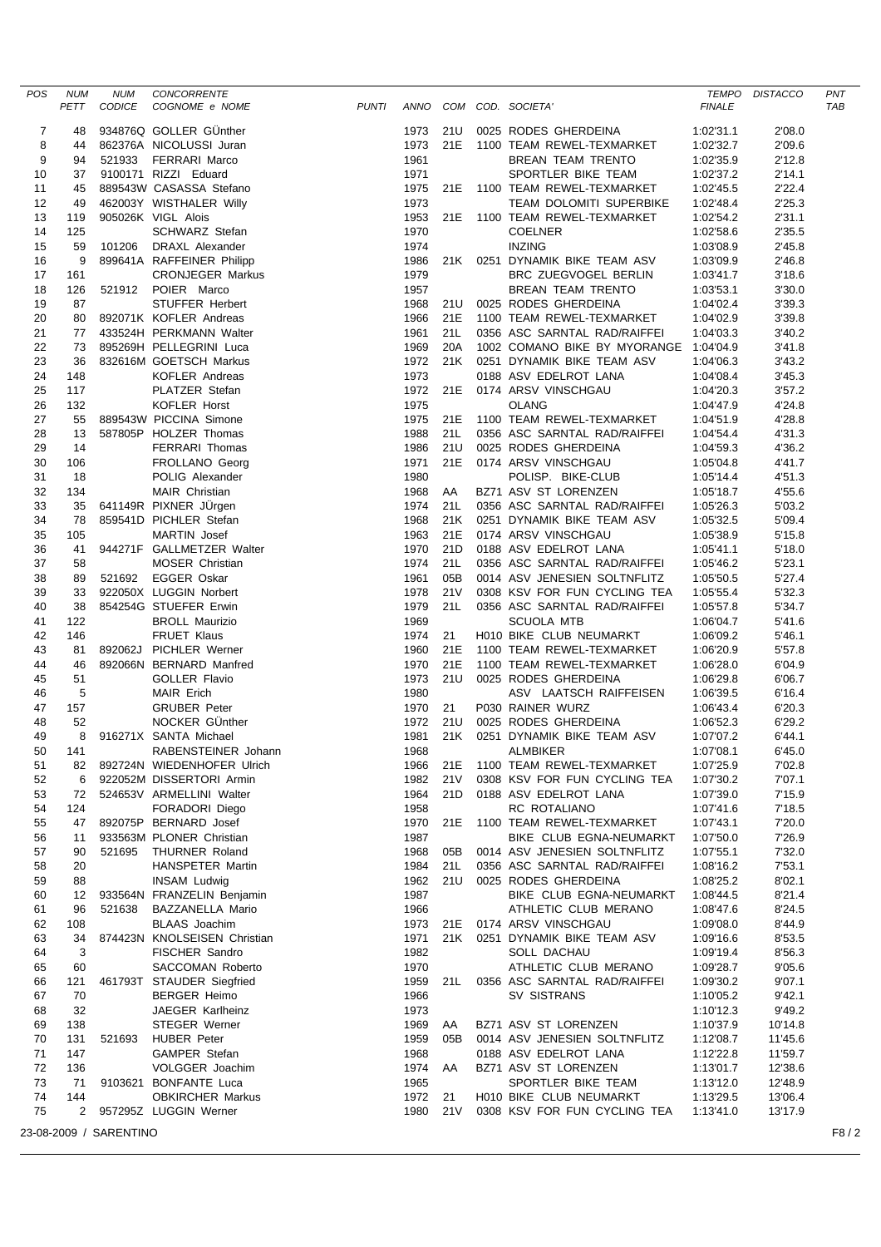| POS      | <b>NUM</b> | <b>NUM</b>             | CONCORRENTE                                    |              |              |                 |                                                 |                        | TEMPO DISTACCO   | PNT  |
|----------|------------|------------------------|------------------------------------------------|--------------|--------------|-----------------|-------------------------------------------------|------------------------|------------------|------|
|          | PETT       | CODICE                 | COGNOME e NOME                                 | <b>PUNTI</b> |              |                 | ANNO COM COD. SOCIETA'                          | <b>FINALE</b>          |                  | TAB  |
| 7        | 48         |                        | 934876Q GOLLER GÜnther                         |              | 1973         | 21U             | 0025 RODES GHERDEINA                            | 1:02'31.1              | 2'08.0           |      |
| 8        | 44         |                        | 862376A NICOLUSSI Juran                        |              | 1973         | 21E             | 1100 TEAM REWEL-TEXMARKET                       | 1:02'32.7              | 2'09.6           |      |
| 9        | 94         |                        | 521933 FERRARI Marco                           |              | 1961         |                 | BREAN TEAM TRENTO                               | 1:02'35.9              | 2'12.8           |      |
| 10       | 37         |                        | 9100171 RIZZI Eduard                           |              | 1971         |                 | SPORTLER BIKE TEAM                              | 1:02'37.2              | 2'14.1           |      |
| 11       | 45         |                        | 889543W CASASSA Stefano                        |              | 1975         | 21E             | 1100 TEAM REWEL-TEXMARKET                       | 1:02'45.5              | 2'22.4           |      |
| 12       | 49         |                        | 462003Y WISTHALER Willy                        |              | 1973         |                 | TEAM DOLOMITI SUPERBIKE                         | 1:02'48.4              | 2'25.3           |      |
| 13       | 119        |                        | 905026K VIGL Alois                             |              | 1953         | 21E             | 1100 TEAM REWEL-TEXMARKET                       | 1:02'54.2              | 2'31.1           |      |
| 14       | 125        |                        | <b>SCHWARZ Stefan</b>                          |              | 1970         |                 | <b>COELNER</b>                                  | 1:02'58.6              | 2'35.5           |      |
| 15       | 59         | 101206                 | DRAXL Alexander                                |              | 1974         |                 | <b>INZING</b>                                   | 1:03'08.9              | 2'45.8           |      |
| 16       | 9          |                        | 899641A RAFFEINER Philipp                      |              | 1986         | 21K             | 0251 DYNAMIK BIKE TEAM ASV                      | 1:03'09.9              | 2'46.8           |      |
| 17       | 161        |                        | <b>CRONJEGER Markus</b>                        |              | 1979         |                 | BRC ZUEGVOGEL BERLIN                            | 1:03'41.7              | 3'18.6           |      |
| 18       | 126        |                        | 521912 POIER Marco                             |              | 1957         |                 | BREAN TEAM TRENTO                               | 1:03'53.1              | 3'30.0           |      |
| 19       | 87         |                        | STUFFER Herbert                                |              | 1968         | 21U             | 0025 RODES GHERDEINA                            | 1:04'02.4              | 3'39.3           |      |
| 20       | 80         |                        | 892071K KOFLER Andreas                         |              | 1966         | 21E             | 1100 TEAM REWEL-TEXMARKET                       | 1:04'02.9              | 3'39.8           |      |
| 21       | 77         |                        | 433524H PERKMANN Walter                        |              | 1961         | 21L             | 0356 ASC SARNTAL RAD/RAIFFEI                    | 1:04'03.3              | 3'40.2           |      |
| 22       | 73         |                        | 895269H PELLEGRINI Luca                        |              | 1969         | 20A             | 1002 COMANO BIKE BY MYORANGE 1:04'04.9          |                        | 3'41.8           |      |
| 23       | 36         |                        | 832616M GOETSCH Markus                         |              | 1972         | 21K             | 0251 DYNAMIK BIKE TEAM ASV                      | 1:04'06.3              | 3'43.2           |      |
| 24       | 148        |                        | KOFLER Andreas                                 |              | 1973         |                 | 0188 ASV EDELROT LANA                           | 1:04'08.4              | 3'45.3           |      |
| 25       | 117        |                        | PLATZER Stefan                                 |              | 1972         | 21E             | 0174 ARSV VINSCHGAU                             | 1:04'20.3              | 3'57.2           |      |
| 26       | 132        |                        | <b>KOFLER Horst</b>                            |              | 1975         |                 | <b>OLANG</b>                                    | 1:04'47.9              | 4'24.8           |      |
| 27       | 55         |                        | 889543W PICCINA Simone                         |              | 1975         | 21E             | 1100 TEAM REWEL-TEXMARKET                       | 1:04'51.9              | 4'28.8           |      |
| 28       | 13<br>14   |                        | 587805P HOLZER Thomas                          |              | 1988<br>1986 | 21L<br>21U      | 0356 ASC SARNTAL RAD/RAIFFEI                    | 1:04'54.4              | 4'31.3           |      |
| 29       |            |                        | FERRARI Thomas<br>FROLLANO Georg               |              | 1971         | 21E             | 0025 RODES GHERDEINA                            | 1:04'59.3              | 4'36.2           |      |
| 30       | 106<br>18  |                        | POLIG Alexander                                |              | 1980         |                 | 0174 ARSV VINSCHGAU                             | 1:05'04.8              | 4'41.7           |      |
| 31<br>32 | 134        |                        | MAIR Christian                                 |              | 1968         | AA              | POLISP. BIKE-CLUB<br>BZ71 ASV ST LORENZEN       | 1:05'14.4<br>1:05'18.7 | 4'51.3<br>4'55.6 |      |
| 33       | 35         |                        | 641149R PIXNER JÜrgen                          |              | 1974         | 21L             | 0356 ASC SARNTAL RAD/RAIFFEI                    | 1:05'26.3              | 5'03.2           |      |
| 34       | 78         |                        | 859541D PICHLER Stefan                         |              | 1968         | 21K             | 0251 DYNAMIK BIKE TEAM ASV                      | 1:05'32.5              | 5'09.4           |      |
| 35       | 105        |                        | <b>MARTIN Josef</b>                            |              | 1963         | 21E             | 0174 ARSV VINSCHGAU                             | 1:05'38.9              | 5'15.8           |      |
| 36       | 41         |                        | 944271F GALLMETZER Walter                      |              | 1970         | 21D             | 0188 ASV EDELROT LANA                           | 1:05'41.1              | 5'18.0           |      |
| 37       | 58         |                        | <b>MOSER Christian</b>                         |              | 1974         | 21L             | 0356 ASC SARNTAL RAD/RAIFFEI                    | 1:05'46.2              | 5'23.1           |      |
| 38       | 89         |                        | 521692 EGGER Oskar                             |              | 1961         | 05B             | 0014 ASV JENESIEN SOLTNFLITZ                    | 1:05'50.5              | 5'27.4           |      |
| 39       | 33         |                        | 922050X LUGGIN Norbert                         |              | 1978         | <b>21V</b>      | 0308 KSV FOR FUN CYCLING TEA                    | 1:05'55.4              | 5'32.3           |      |
| 40       | 38         |                        | 854254G STUEFER Erwin                          |              | 1979         | 21L             | 0356 ASC SARNTAL RAD/RAIFFEI                    | 1:05'57.8              | 5'34.7           |      |
| 41       | 122        |                        | <b>BROLL Maurizio</b>                          |              | 1969         |                 | <b>SCUOLA MTB</b>                               | 1:06'04.7              | 5'41.6           |      |
| 42       | 146        |                        | FRUET Klaus                                    |              | 1974         | 21              | H010 BIKE CLUB NEUMARKT                         | 1:06'09.2              | 5'46.1           |      |
| 43       | 81         |                        | 892062J PICHLER Werner                         |              | 1960         | 21E             | 1100 TEAM REWEL-TEXMARKET                       | 1:06'20.9              | 5'57.8           |      |
| 44       | 46         |                        | 892066N BERNARD Manfred                        |              | 1970         | 21E             | 1100 TEAM REWEL-TEXMARKET                       | 1:06'28.0              | 6'04.9           |      |
| 45       | 51         |                        | <b>GOLLER Flavio</b>                           |              | 1973         | 21U             | 0025 RODES GHERDEINA                            | 1:06'29.8              | 6'06.7           |      |
| 46       | 5          |                        | <b>MAIR Erich</b>                              |              | 1980         |                 | ASV LAATSCH RAIFFEISEN                          | 1:06'39.5              | 6'16.4           |      |
| 47       | 157        |                        | <b>GRUBER Peter</b>                            |              | 1970         | 21              | P030 RAINER WURZ                                | 1:06'43.4              | 6'20.3           |      |
| 48       | 52         |                        | NOCKER GÜnther                                 |              | 1972         | 21U             | 0025 RODES GHERDEINA                            | 1:06'52.3              | 6'29.2           |      |
| 49       |            |                        | 8 916271X SANTA Michael                        |              | 1981         | 21K             | 0251 DYNAMIK BIKE TEAM ASV                      | 1:07'07.2              | 6'44.1           |      |
| 50       | 141        |                        | RABENSTEINER Johann                            |              | 1968         |                 | <b>ALMBIKER</b>                                 | 1:07'08.1              | 6'45.0           |      |
| 51       | 82         |                        | 892724N WIEDENHOFER Ulrich                     |              | 1966         | 21E             | 1100 TEAM REWEL-TEXMARKET                       | 1:07'25.9              | 7'02.8           |      |
| 52       | 6          |                        | 922052M DISSERTORI Armin                       |              | 1982         | 21 V            | 0308 KSV FOR FUN CYCLING TEA                    | 1:07'30.2              | 7'07.1           |      |
| 53       | 72         |                        | 524653V ARMELLINI Walter                       |              | 1964         | 21D             | 0188 ASV EDELROT LANA                           | 1:07'39.0              | 7'15.9           |      |
| 54       | 124        |                        | FORADORI Diego                                 |              | 1958         |                 | RC ROTALIANO                                    | 1:07'41.6              | 7'18.5           |      |
| 55       | 47         |                        | 892075P BERNARD Josef                          |              | 1970         | 21E             | 1100 TEAM REWEL-TEXMARKET                       | 1:07'43.1              | 7'20.0           |      |
| 56       | 11         |                        | 933563M PLONER Christian                       |              | 1987         |                 | BIKE CLUB EGNA-NEUMARKT                         | 1:07'50.0              | 7'26.9           |      |
| 57       | 90         | 521695                 | THURNER Roland                                 |              | 1968         | 05B             | 0014 ASV JENESIEN SOLTNFLITZ                    | 1:07'55.1              | 7'32.0           |      |
| 58       | 20         |                        | HANSPETER Martin                               |              | 1984         | 21L<br>21U      | 0356 ASC SARNTAL RAD/RAIFFEI                    | 1:08'16.2              | 7'53.1           |      |
| 59       | 88         |                        | <b>INSAM Ludwig</b>                            |              | 1962         |                 | 0025 RODES GHERDEINA                            | 1:08'25.2              | 8'02.1           |      |
| 60<br>61 | 12<br>96   | 521638                 | 933564N FRANZELIN Benjamin<br>BAZZANELLA Mario |              | 1987<br>1966 |                 | BIKE CLUB EGNA-NEUMARKT<br>ATHLETIC CLUB MERANO | 1:08'44.5<br>1:08'47.6 | 8'21.4<br>8'24.5 |      |
| 62       | 108        |                        | <b>BLAAS</b> Joachim                           |              | 1973         |                 | 21E 0174 ARSV VINSCHGAU                         | 1:09'08.0              | 8'44.9           |      |
| 63       | 34         |                        | 874423N KNOLSEISEN Christian                   |              | 1971         |                 | 21K 0251 DYNAMIK BIKE TEAM ASV                  | 1:09'16.6              | 8'53.5           |      |
| 64       | 3          |                        | FISCHER Sandro                                 |              | 1982         |                 | SOLL DACHAU                                     | 1:09'19.4              | 8'56.3           |      |
| 65       | 60         |                        | SACCOMAN Roberto                               |              | 1970         |                 | ATHLETIC CLUB MERANO                            | 1:09'28.7              | 9'05.6           |      |
| 66       | 121        |                        | 461793T STAUDER Siegfried                      |              | 1959         | 21 L            | 0356 ASC SARNTAL RAD/RAIFFEI                    | 1:09'30.2              | 9'07.1           |      |
| 67       | 70         |                        | <b>BERGER Heimo</b>                            |              | 1966         |                 | SV SISTRANS                                     | 1:10'05.2              | 9'42.1           |      |
| 68       | 32         |                        | JAEGER Karlheinz                               |              | 1973         |                 |                                                 | 1:10'12.3              | 9'49.2           |      |
| 69       | 138        |                        | <b>STEGER Werner</b>                           |              | 1969         | AA              | BZ71 ASV ST LORENZEN                            | 1:10'37.9              | 10'14.8          |      |
| 70       | 131        | 521693                 | <b>HUBER Peter</b>                             |              | 1959         | 05B             | 0014 ASV JENESIEN SOLTNFLITZ                    | 1:12'08.7              | 11'45.6          |      |
| 71       | 147        |                        | GAMPER Stefan                                  |              | 1968         |                 | 0188 ASV EDELROT LANA                           | 1:12'22.8              | 11'59.7          |      |
| 72       | 136        |                        | VOLGGER Joachim                                |              | 1974         | AA              | BZ71 ASV ST LORENZEN                            | 1:13'01.7              | 12'38.6          |      |
| 73       | 71         |                        | 9103621 BONFANTE Luca                          |              | 1965         |                 | SPORTLER BIKE TEAM                              | 1:13'12.0              | 12'48.9          |      |
| 74       | 144        |                        | <b>OBKIRCHER Markus</b>                        |              | 1972 21      |                 | H010 BIKE CLUB NEUMARKT                         | 1:13'29.5              | 13'06.4          |      |
| 75       | 2          |                        | 957295Z LUGGIN Werner                          |              | 1980         | 21 <sub>V</sub> | 0308 KSV FOR FUN CYCLING TEA                    | 1:13'41.0              | 13'17.9          |      |
|          |            | 23-08-2009 / SARENTINO |                                                |              |              |                 |                                                 |                        |                  | F8/2 |
|          |            |                        |                                                |              |              |                 |                                                 |                        |                  |      |